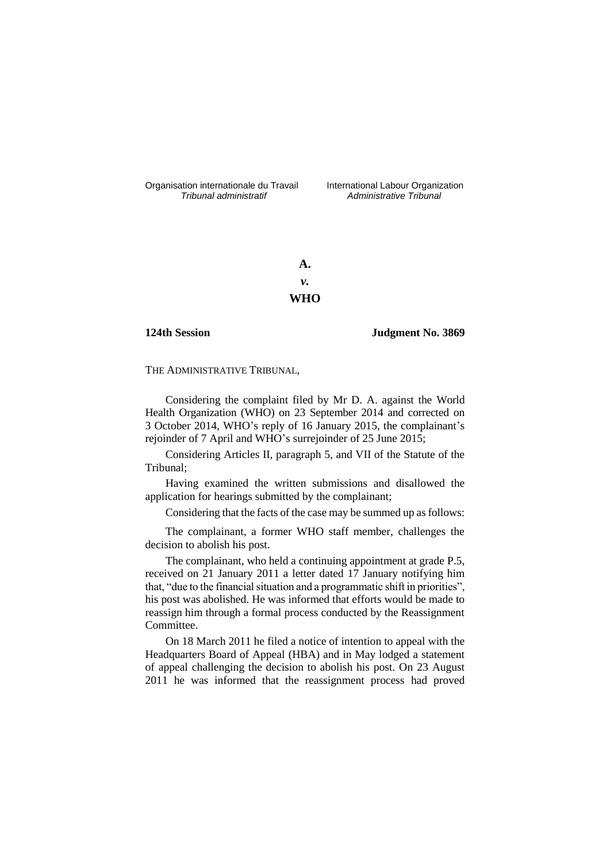Organisation internationale du Travail liternational Labour Organization<br> *Tribunal administratif Administrative Tribunal* 

*Tribunal administratif Administrative Tribunal*

**A.** *v.* **WHO**

**124th Session Judgment No. 3869**

THE ADMINISTRATIVE TRIBUNAL,

Considering the complaint filed by Mr D. A. against the World Health Organization (WHO) on 23 September 2014 and corrected on 3 October 2014, WHO's reply of 16 January 2015, the complainant's rejoinder of 7 April and WHO's surrejoinder of 25 June 2015;

Considering Articles II, paragraph 5, and VII of the Statute of the Tribunal;

Having examined the written submissions and disallowed the application for hearings submitted by the complainant;

Considering that the facts of the case may be summed up as follows:

The complainant, a former WHO staff member, challenges the decision to abolish his post.

The complainant, who held a continuing appointment at grade P.5, received on 21 January 2011 a letter dated 17 January notifying him that, "due to the financial situation and a programmatic shift in priorities", his post was abolished. He was informed that efforts would be made to reassign him through a formal process conducted by the Reassignment Committee.

On 18 March 2011 he filed a notice of intention to appeal with the Headquarters Board of Appeal (HBA) and in May lodged a statement of appeal challenging the decision to abolish his post. On 23 August 2011 he was informed that the reassignment process had proved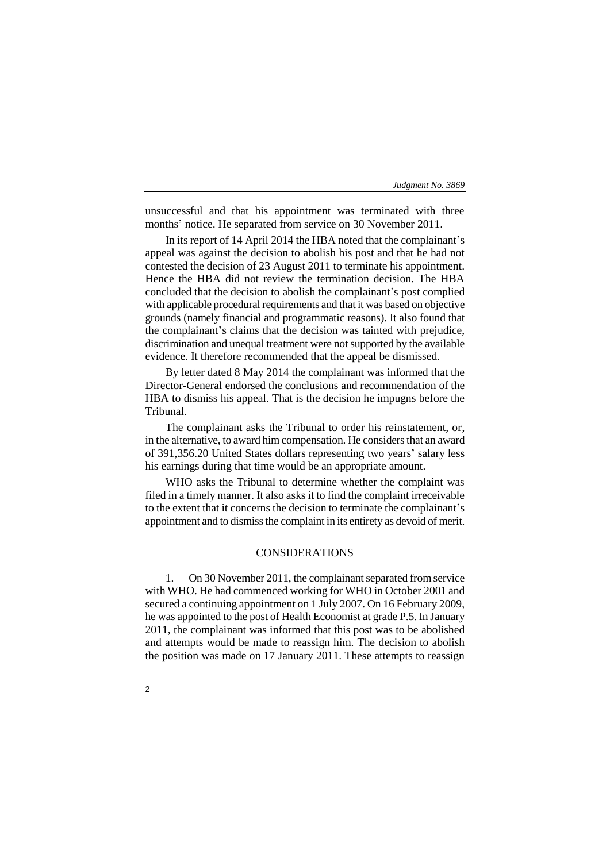unsuccessful and that his appointment was terminated with three months' notice. He separated from service on 30 November 2011.

In its report of 14 April 2014 the HBA noted that the complainant's appeal was against the decision to abolish his post and that he had not contested the decision of 23 August 2011 to terminate his appointment. Hence the HBA did not review the termination decision. The HBA concluded that the decision to abolish the complainant's post complied with applicable procedural requirements and that it was based on objective grounds (namely financial and programmatic reasons). It also found that the complainant's claims that the decision was tainted with prejudice, discrimination and unequal treatment were not supported by the available evidence. It therefore recommended that the appeal be dismissed.

By letter dated 8 May 2014 the complainant was informed that the Director-General endorsed the conclusions and recommendation of the HBA to dismiss his appeal. That is the decision he impugns before the Tribunal.

The complainant asks the Tribunal to order his reinstatement, or, in the alternative, to award him compensation. He considers that an award of 391,356.20 United States dollars representing two years' salary less his earnings during that time would be an appropriate amount.

WHO asks the Tribunal to determine whether the complaint was filed in a timely manner. It also asks it to find the complaint irreceivable to the extent that it concerns the decision to terminate the complainant's appointment and to dismiss the complaint in its entirety as devoid of merit.

## CONSIDERATIONS

1. On 30 November 2011, the complainant separated from service with WHO. He had commenced working for WHO in October 2001 and secured a continuing appointment on 1 July 2007. On 16 February 2009, he was appointed to the post of Health Economist at grade P.5. In January 2011, the complainant was informed that this post was to be abolished and attempts would be made to reassign him. The decision to abolish the position was made on 17 January 2011. These attempts to reassign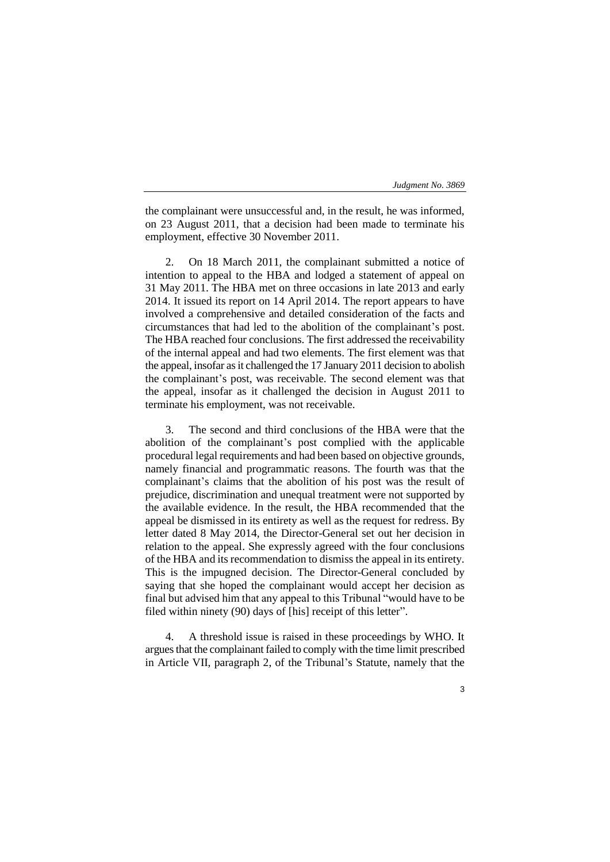the complainant were unsuccessful and, in the result, he was informed, on 23 August 2011, that a decision had been made to terminate his employment, effective 30 November 2011.

2. On 18 March 2011, the complainant submitted a notice of intention to appeal to the HBA and lodged a statement of appeal on 31 May 2011. The HBA met on three occasions in late 2013 and early 2014. It issued its report on 14 April 2014. The report appears to have involved a comprehensive and detailed consideration of the facts and circumstances that had led to the abolition of the complainant's post. The HBA reached four conclusions. The first addressed the receivability of the internal appeal and had two elements. The first element was that the appeal, insofar as it challenged the 17 January 2011 decision to abolish the complainant's post, was receivable. The second element was that the appeal, insofar as it challenged the decision in August 2011 to terminate his employment, was not receivable.

3. The second and third conclusions of the HBA were that the abolition of the complainant's post complied with the applicable procedural legal requirements and had been based on objective grounds, namely financial and programmatic reasons. The fourth was that the complainant's claims that the abolition of his post was the result of prejudice, discrimination and unequal treatment were not supported by the available evidence. In the result, the HBA recommended that the appeal be dismissed in its entirety as well as the request for redress. By letter dated 8 May 2014, the Director-General set out her decision in relation to the appeal. She expressly agreed with the four conclusions of the HBA and its recommendation to dismiss the appeal in its entirety. This is the impugned decision. The Director-General concluded by saying that she hoped the complainant would accept her decision as final but advised him that any appeal to this Tribunal "would have to be filed within ninety (90) days of [his] receipt of this letter".

4. A threshold issue is raised in these proceedings by WHO. It argues that the complainant failed to comply with the time limit prescribed in Article VII, paragraph 2, of the Tribunal's Statute, namely that the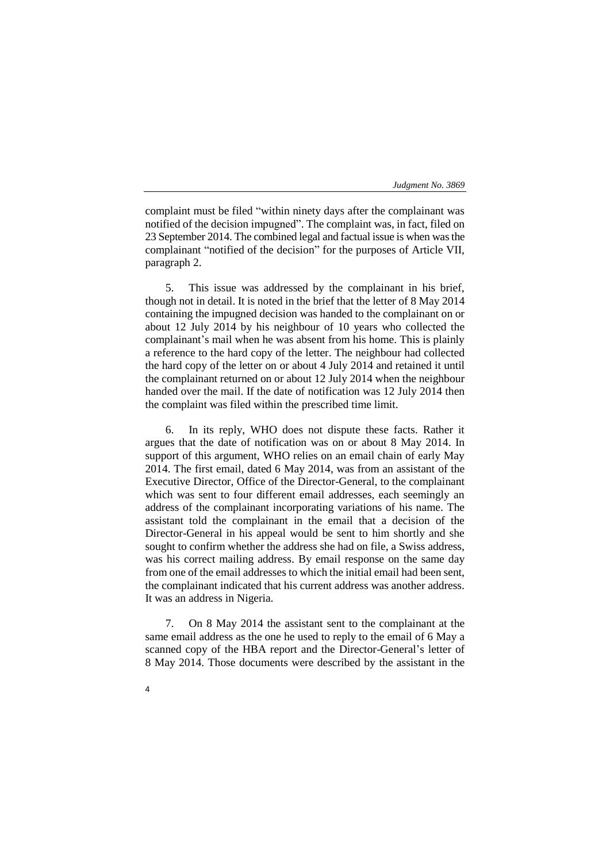complaint must be filed "within ninety days after the complainant was notified of the decision impugned". The complaint was, in fact, filed on 23 September 2014. The combined legal and factual issue is when was the complainant "notified of the decision" for the purposes of Article VII, paragraph 2.

5. This issue was addressed by the complainant in his brief, though not in detail. It is noted in the brief that the letter of 8 May 2014 containing the impugned decision was handed to the complainant on or about 12 July 2014 by his neighbour of 10 years who collected the complainant's mail when he was absent from his home. This is plainly a reference to the hard copy of the letter. The neighbour had collected the hard copy of the letter on or about 4 July 2014 and retained it until the complainant returned on or about 12 July 2014 when the neighbour handed over the mail. If the date of notification was 12 July 2014 then the complaint was filed within the prescribed time limit.

6. In its reply, WHO does not dispute these facts. Rather it argues that the date of notification was on or about 8 May 2014. In support of this argument, WHO relies on an email chain of early May 2014. The first email, dated 6 May 2014, was from an assistant of the Executive Director, Office of the Director-General, to the complainant which was sent to four different email addresses, each seemingly an address of the complainant incorporating variations of his name. The assistant told the complainant in the email that a decision of the Director-General in his appeal would be sent to him shortly and she sought to confirm whether the address she had on file, a Swiss address, was his correct mailing address. By email response on the same day from one of the email addresses to which the initial email had been sent, the complainant indicated that his current address was another address. It was an address in Nigeria.

7. On 8 May 2014 the assistant sent to the complainant at the same email address as the one he used to reply to the email of 6 May a scanned copy of the HBA report and the Director-General's letter of 8 May 2014. Those documents were described by the assistant in the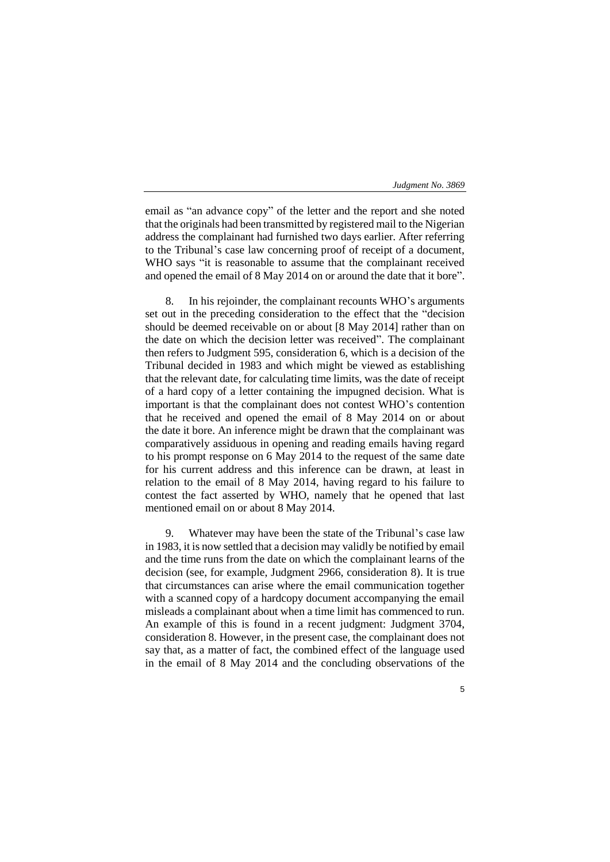email as "an advance copy" of the letter and the report and she noted that the originals had been transmitted by registered mail to the Nigerian address the complainant had furnished two days earlier. After referring to the Tribunal's case law concerning proof of receipt of a document, WHO says "it is reasonable to assume that the complainant received and opened the email of 8 May 2014 on or around the date that it bore".

8. In his rejoinder, the complainant recounts WHO's arguments set out in the preceding consideration to the effect that the "decision should be deemed receivable on or about [8 May 2014] rather than on the date on which the decision letter was received". The complainant then refers to Judgment 595, consideration 6, which is a decision of the Tribunal decided in 1983 and which might be viewed as establishing that the relevant date, for calculating time limits, was the date of receipt of a hard copy of a letter containing the impugned decision. What is important is that the complainant does not contest WHO's contention that he received and opened the email of 8 May 2014 on or about the date it bore. An inference might be drawn that the complainant was comparatively assiduous in opening and reading emails having regard to his prompt response on 6 May 2014 to the request of the same date for his current address and this inference can be drawn, at least in relation to the email of 8 May 2014, having regard to his failure to contest the fact asserted by WHO, namely that he opened that last mentioned email on or about 8 May 2014.

9. Whatever may have been the state of the Tribunal's case law in 1983, it is now settled that a decision may validly be notified by email and the time runs from the date on which the complainant learns of the decision (see, for example, Judgment 2966, consideration 8). It is true that circumstances can arise where the email communication together with a scanned copy of a hardcopy document accompanying the email misleads a complainant about when a time limit has commenced to run. An example of this is found in a recent judgment: Judgment 3704, consideration 8. However, in the present case, the complainant does not say that, as a matter of fact, the combined effect of the language used in the email of 8 May 2014 and the concluding observations of the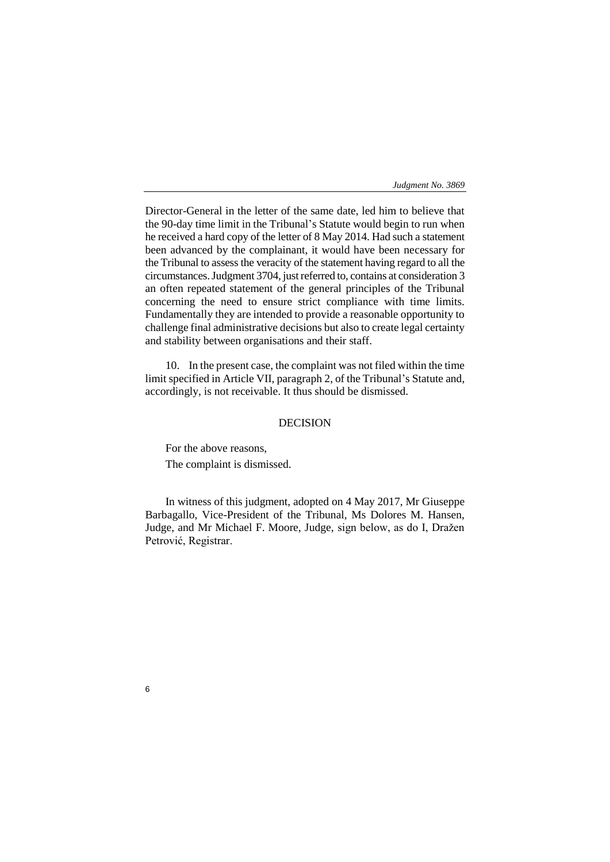Director-General in the letter of the same date, led him to believe that the 90-day time limit in the Tribunal's Statute would begin to run when he received a hard copy of the letter of 8 May 2014. Had such a statement been advanced by the complainant, it would have been necessary for the Tribunal to assess the veracity of the statement having regard to all the circumstances. Judgment 3704, just referred to, contains at consideration 3 an often repeated statement of the general principles of the Tribunal concerning the need to ensure strict compliance with time limits. Fundamentally they are intended to provide a reasonable opportunity to challenge final administrative decisions but also to create legal certainty and stability between organisations and their staff.

10. In the present case, the complaint was not filed within the time limit specified in Article VII, paragraph 2, of the Tribunal's Statute and, accordingly, is not receivable. It thus should be dismissed.

## DECISION

For the above reasons, The complaint is dismissed.

In witness of this judgment, adopted on 4 May 2017, Mr Giuseppe Barbagallo, Vice-President of the Tribunal, Ms Dolores M. Hansen, Judge, and Mr Michael F. Moore, Judge, sign below, as do I, Dražen Petrović, Registrar.